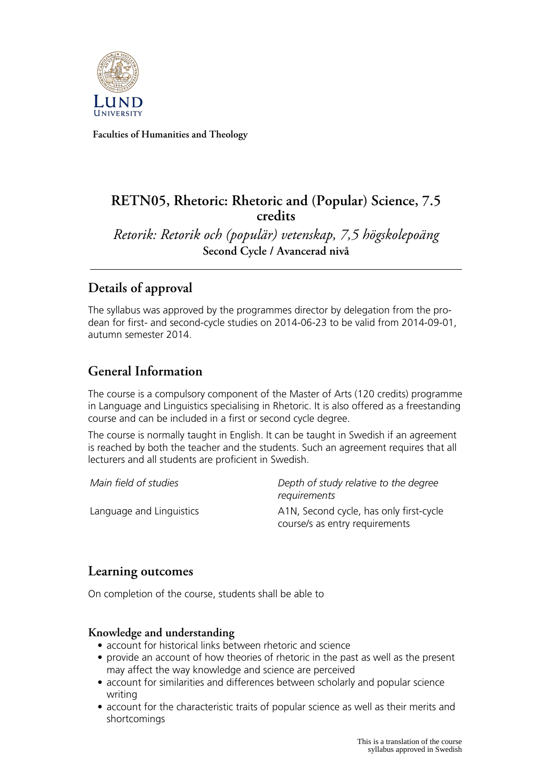

**Faculties of Humanities and Theology**

# **RETN05, Rhetoric: Rhetoric and (Popular) Science, 7.5 credits**

*Retorik: Retorik och (populär) vetenskap, 7,5 högskolepoäng* **Second Cycle / Avancerad nivå**

# **Details of approval**

The syllabus was approved by the programmes director by delegation from the prodean for first- and second-cycle studies on 2014-06-23 to be valid from 2014-09-01, autumn semester 2014.

# **General Information**

The course is a compulsory component of the Master of Arts (120 credits) programme in Language and Linguistics specialising in Rhetoric. It is also offered as a freestanding course and can be included in a first or second cycle degree.

The course is normally taught in English. It can be taught in Swedish if an agreement is reached by both the teacher and the students. Such an agreement requires that all lecturers and all students are proficient in Swedish.

*Main field of studies Depth of study relative to the degree requirements* Language and Linguistics **A1N, Second cycle, has only first-cycle** course/s as entry requirements

## **Learning outcomes**

On completion of the course, students shall be able to

### **Knowledge and understanding**

- account for historical links between rhetoric and science
- provide an account of how theories of rhetoric in the past as well as the present may affect the way knowledge and science are perceived
- account for similarities and differences between scholarly and popular science writing
- account for the characteristic traits of popular science as well as their merits and shortcomings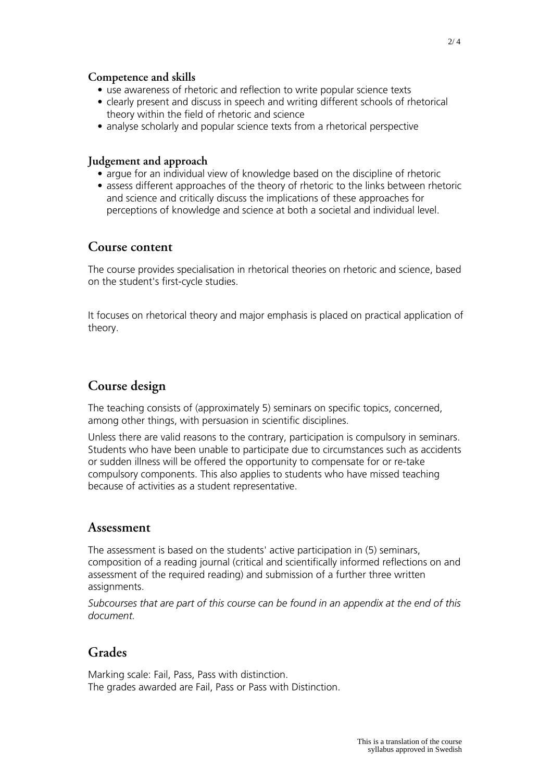### **Competence and skills**

- use awareness of rhetoric and reflection to write popular science texts
- clearly present and discuss in speech and writing different schools of rhetorical theory within the field of rhetoric and science
- analyse scholarly and popular science texts from a rhetorical perspective

### **Judgement and approach**

- argue for an individual view of knowledge based on the discipline of rhetoric
- assess different approaches of the theory of rhetoric to the links between rhetoric and science and critically discuss the implications of these approaches for perceptions of knowledge and science at both a societal and individual level.

## **Course content**

The course provides specialisation in rhetorical theories on rhetoric and science, based on the student's first-cycle studies.

It focuses on rhetorical theory and major emphasis is placed on practical application of theory.

## **Course design**

The teaching consists of (approximately 5) seminars on specific topics, concerned, among other things, with persuasion in scientific disciplines.

Unless there are valid reasons to the contrary, participation is compulsory in seminars. Students who have been unable to participate due to circumstances such as accidents or sudden illness will be offered the opportunity to compensate for or re-take compulsory components. This also applies to students who have missed teaching because of activities as a student representative.

### **Assessment**

The assessment is based on the students' active participation in (5) seminars, composition of a reading journal (critical and scientifically informed reflections on and assessment of the required reading) and submission of a further three written assignments.

*Subcourses that are part of this course can be found in an appendix at the end of this document.*

## **Grades**

Marking scale: Fail, Pass, Pass with distinction. The grades awarded are Fail, Pass or Pass with Distinction.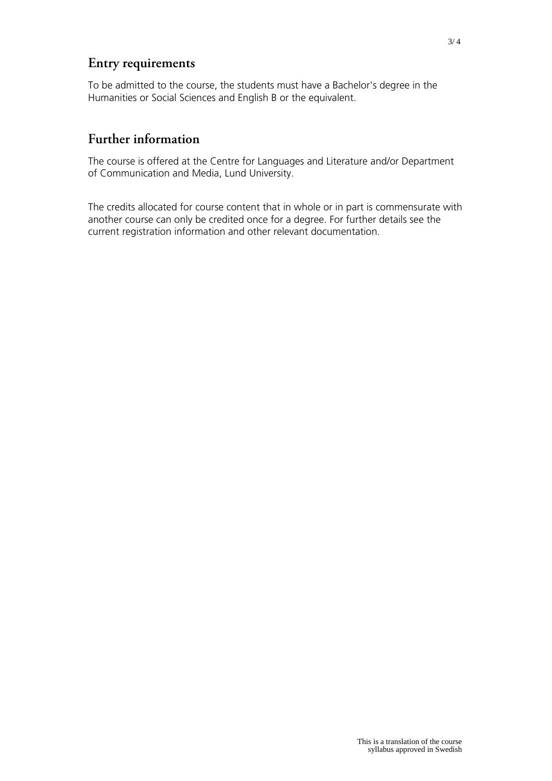## **Entry requirements**

To be admitted to the course, the students must have a Bachelor's degree in the Humanities or Social Sciences and English B or the equivalent.

# **Further information**

The course is offered at the Centre for Languages and Literature and/or Department of Communication and Media, Lund University.

The credits allocated for course content that in whole or in part is commensurate with another course can only be credited once for a degree. For further details see the current registration information and other relevant documentation.